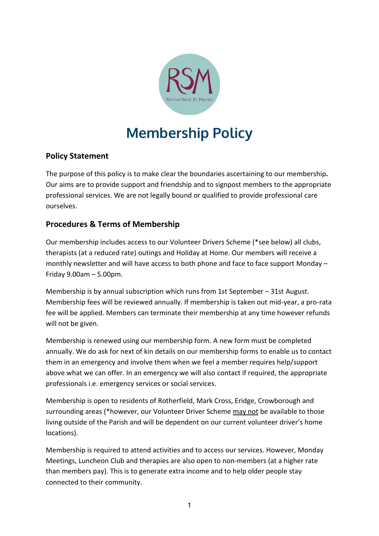

## **Membership Policy**

## **Policy Statement**

The purpose of this policy is to make clear the boundaries ascertaining to our membership**.** Our aims are to provide support and friendship and to signpost members to the appropriate professional services. We are not legally bound or qualified to provide professional care ourselves.

## **Procedures & Terms of Membership**

Our membership includes access to our Volunteer Drivers Scheme (\*see below) all clubs, therapists (at a reduced rate) outings and Holiday at Home. Our members will receive a monthly newsletter and will have access to both phone and face to face support Monday – Friday 9.00am – 5.00pm.

Membership is by annual subscription which runs from 1st September – 31st August. Membership fees will be reviewed annually. If membership is taken out mid-year, a pro-rata fee will be applied. Members can terminate their membership at any time however refunds will not be given.

Membership is renewed using our membership form. A new form must be completed annually. We do ask for next of kin details on our membership forms to enable us to contact them in an emergency and involve them when we feel a member requires help/support above what we can offer. In an emergency we will also contact if required, the appropriate professionals i.e. emergency services or social services.

Membership is open to residents of Rotherfield, Mark Cross, Eridge, Crowborough and surrounding areas (\*however, our Volunteer Driver Scheme may not be available to those living outside of the Parish and will be dependent on our current volunteer driver's home locations).

Membership is required to attend activities and to access our services. However, Monday Meetings, Luncheon Club and therapies are also open to non-members (at a higher rate than members pay). This is to generate extra income and to help older people stay connected to their community.